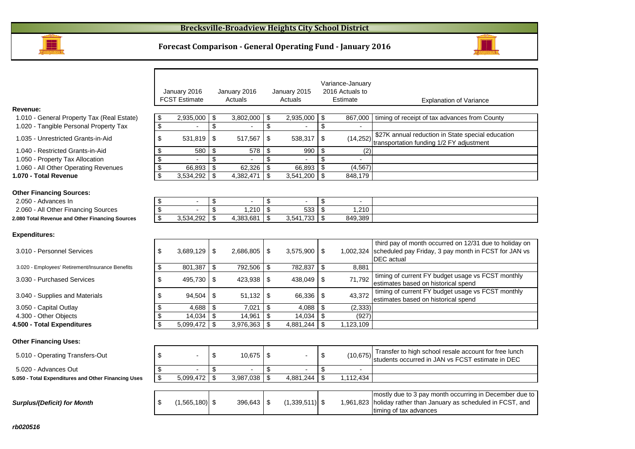

#### **Forecast Comparison - General Operating Fund - January 2016**



timing of tax advances

|                                                        |                         | January 2016<br><b>FCST Estimate</b> | January 2016<br>Actuals | January 2015<br>Actuals |                  |                           | Variance-January<br>2016 Actuals to<br>Estimate | <b>Explanation of Variance</b>                                                                                                      |
|--------------------------------------------------------|-------------------------|--------------------------------------|-------------------------|-------------------------|------------------|---------------------------|-------------------------------------------------|-------------------------------------------------------------------------------------------------------------------------------------|
| Revenue:                                               |                         |                                      |                         |                         |                  |                           |                                                 |                                                                                                                                     |
| 1.010 - General Property Tax (Real Estate)             | \$                      | 2,935,000                            | \$<br>3,802,000         | \$                      | 2,935,000        | -\$                       | 867,000                                         | timing of receipt of tax advances from County                                                                                       |
| 1.020 - Tangible Personal Property Tax                 | \$                      |                                      | \$                      | \$                      |                  | \$                        |                                                 |                                                                                                                                     |
| 1.035 - Unrestricted Grants-in-Aid                     | \$                      | 531,819                              | \$<br>517,567           | \$                      | 538,317          | \$                        | (14, 252)                                       | \$27K annual reduction in State special education<br>transportation funding 1/2 FY adjustment                                       |
| 1.040 - Restricted Grants-in-Aid                       | \$                      | 580                                  | \$<br>578               | \$                      | 990              | \$                        | (2)                                             |                                                                                                                                     |
| 1.050 - Property Tax Allocation                        | \$                      |                                      | \$                      | \$                      |                  | \$                        |                                                 |                                                                                                                                     |
| 1.060 - All Other Operating Revenues                   | $\overline{\mathbf{e}}$ | 66,893                               | \$<br>62,326            | \$                      | 66,893           | \$                        | (4, 567)                                        |                                                                                                                                     |
| 1.070 - Total Revenue                                  | \$                      | 3,534,292                            | \$<br>4,382,471         | \$                      | 3,541,200        | \$                        | 848,179                                         |                                                                                                                                     |
| <b>Other Financing Sources:</b><br>2.050 - Advances In | \$                      | $\blacksquare$                       | \$<br>$\blacksquare$    | $\frac{1}{2}$           | $\blacksquare$   | $\boldsymbol{\mathsf{S}}$ |                                                 |                                                                                                                                     |
| 2.060 - All Other Financing Sources                    | $\overline{\mathbf{S}}$ |                                      | \$<br>1,210             | \$                      | 533              | \$                        | 1,210                                           |                                                                                                                                     |
|                                                        | $\overline{\mathbf{s}}$ | 3,534,292                            | \$<br>4,383,681         | \$                      | 3,541,733        | \$                        | 849,389                                         |                                                                                                                                     |
| 2.080 Total Revenue and Other Financing Sources        |                         |                                      |                         |                         |                  |                           |                                                 |                                                                                                                                     |
| <b>Expenditures:</b>                                   |                         |                                      |                         |                         |                  |                           |                                                 |                                                                                                                                     |
| 3.010 - Personnel Services                             | \$                      | 3,689,129                            | \$<br>2,686,805         | \$                      | 3,575,900        | \$                        | 1.002.324                                       | third pay of month occurred on 12/31 due to holiday on<br>scheduled pay Friday, 3 pay month in FCST for JAN vs<br><b>DEC</b> actual |
| 3.020 - Employees' Retirement/Insurance Benefits       | \$                      | 801,387                              | \$<br>792,506           | \$                      | 782,837          | \$                        | 8,881                                           |                                                                                                                                     |
| 3.030 - Purchased Services                             | \$                      | 495,730                              | \$<br>423,938           | \$                      | 438,049          | \$                        | 71,792                                          | timing of current FY budget usage vs FCST monthly<br>estimates based on historical spend                                            |
| 3.040 - Supplies and Materials                         | \$                      | 94,504                               | \$<br>51,132            | \$                      | 66,336           | \$                        | 43,372                                          | timing of current FY budget usage vs FCST monthly<br>estimates based on historical spend                                            |
| 3.050 - Capital Outlay                                 | \$                      | 4,688                                | \$<br>7,021             | \$                      | 4,088            | \$                        | (2, 333)                                        |                                                                                                                                     |
| 4.300 - Other Objects                                  | \$                      | 14,034                               | \$<br>14,961            | $\vert$ \$              | 14,034           | \$                        | (927)                                           |                                                                                                                                     |
| 4.500 - Total Expenditures                             | \$                      | 5,099,472                            | \$<br>3,976,363         | $\mathsf{\$}$           | 4,881,244        | \$                        | 1,123,109                                       |                                                                                                                                     |
| <b>Other Financing Uses:</b>                           |                         |                                      |                         |                         |                  |                           |                                                 |                                                                                                                                     |
| 5.010 - Operating Transfers-Out                        | \$                      |                                      | \$<br>10,675            | \$                      |                  | $\sqrt[6]{2}$             | (10, 675)                                       | Transfer to high school resale account for free lunch<br>students occurred in JAN vs FCST estimate in DEC                           |
| 5.020 - Advances Out                                   | \$                      | $\blacksquare$                       | \$                      | \$                      | $\overline{a}$   | \$                        |                                                 |                                                                                                                                     |
| 5.050 - Total Expenditures and Other Financing Uses    | \$                      | 5,099,472                            | \$<br>3,987,038         | $\mathsf{\$}$           | 4,881,244        | \$                        | 1,112,434                                       |                                                                                                                                     |
|                                                        |                         |                                      |                         |                         |                  |                           |                                                 |                                                                                                                                     |
| <b>Surplus/(Deficit) for Month</b>                     | \$                      | $(1,565,180)$ \$                     | $396,643$ \$            |                         | $(1,339,511)$ \$ |                           |                                                 | mostly due to 3 pay month occurring in December due to<br>1,961,823 holiday rather than January as scheduled in FCST, and           |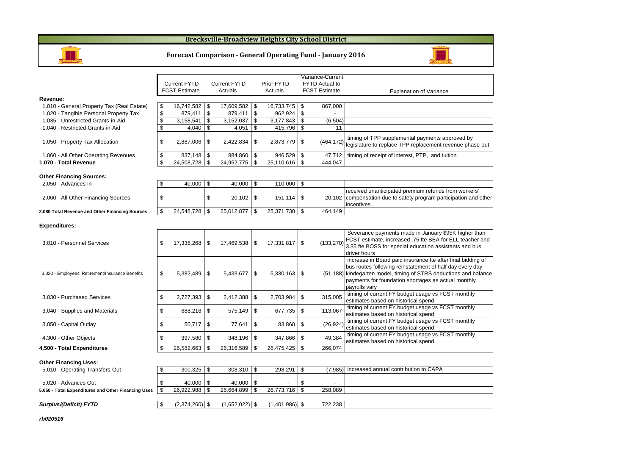#### **Brecksville-Broadview Heights City School District**





3.030 - Purchased Services 3.030 - 1 \$2,727,393 | \$  $\begin{array}{r|l}\n\text{688,216}\n\end{array}\n\quad \begin{array}{r|l}\n\text{575,149}\n\end{array}\n\quad \begin{array}{r}\n\text{677,735}\n\end{array}\n\quad \begin{array}{r}\n\text{575,149}\n\end{array}\n\quad \begin{array}{r}\n\text{677,735}\n\end{array}\n\quad \begin{array}{r}\n\text{575,149}\n\end{array}\n\quad \begin{array}{r}\n\text{677,735}\n\end{array}\n\quad \begin{array}{r}\n\text{575,149}\n$ 3.040 - Supplies and Materials **688,216** \$  $\begin{array}{|l|l|}\n 50,717 & \text{\$} \qquad & 77,641 & \text{\$} \qquad & 83,860 & \text{\$} \qquad & (26,924) & \text{simings of current FY budget usage vs FCST monthly} \\
\end{array}$  3.050 - Capital Outlayy | \$ 50,717 | \$ 77,641  $\begin{array}{r|l}\n\text{397,580}\n\end{array}\n\quad \begin{array}{r}\n\text{348,196}\n\end{array}\n\quad \begin{array}{r}\n\text{347,866}\n\end{array}\n\quad \begin{array}{r}\n\text{349,384}\n\quad \text{49,384}\n\quad \text{estimated based on historical spend}\n\end{array}$ 4.300 - Other Objects 397,580

**4.500 - Total Expendituress**  $\boxed{\$}$  26,582,663  $\boxed{\$}$  26,316,589  $\boxed{\$}$  26,475,425  $\boxed{\$}$  266,074

#### **Other Financing Uses:**

| 5.010 - Operating Transfers-Out                     | 300.325          | $308.310$ $\frac{9}{5}$ | 298.291                  |         | (7.985) increased annual contribution to CAPA |
|-----------------------------------------------------|------------------|-------------------------|--------------------------|---------|-----------------------------------------------|
| 5.020 - Advances Out                                | 40.000           | $40.000$ $\frac{1}{3}$  |                          |         |                                               |
| 5.050 - Total Expenditures and Other Financing Uses | 26.922.988       | 26.664.899              | 26.773.716   \$          | 258.089 |                                               |
|                                                     |                  |                         |                          |         |                                               |
| Surplus/(Deficit) FYTD                              | $(2.374.260)$ \$ | $(1,652,022)$ \$        | $(1.401.986)$ $\vert$ \$ | 722.238 |                                               |
|                                                     |                  |                         |                          |         |                                               |

**rb020516**

**Revenue:**

2.050 - Advances In

**Expenditures:**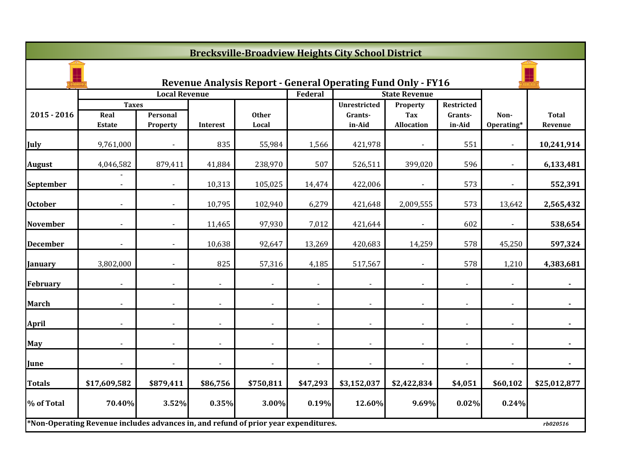|                 | <b>Brecksville-Broadview Heights City School District</b>                           |                      |                |                       |                |                                                                     |                          |                          |                    |                         |  |  |
|-----------------|-------------------------------------------------------------------------------------|----------------------|----------------|-----------------------|----------------|---------------------------------------------------------------------|--------------------------|--------------------------|--------------------|-------------------------|--|--|
|                 |                                                                                     |                      |                |                       |                | <b>Revenue Analysis Report - General Operating Fund Only - FY16</b> |                          |                          |                    |                         |  |  |
|                 |                                                                                     | <b>Local Revenue</b> |                |                       | Federal        |                                                                     | <b>State Revenue</b>     |                          |                    |                         |  |  |
|                 | <b>Taxes</b>                                                                        |                      |                |                       |                | <b>Unrestricted</b>                                                 | Property                 | Restricted               |                    |                         |  |  |
| $2015 - 2016$   | Real<br><b>Estate</b>                                                               | Personal<br>Property | Interest       | <b>Other</b><br>Local |                | Grants-<br>in-Aid                                                   | Tax<br><b>Allocation</b> | Grants-<br>in-Aid        | Non-<br>Operating* | <b>Total</b><br>Revenue |  |  |
| July            | 9,761,000                                                                           |                      | 835            | 55,984                | 1,566          | 421,978                                                             |                          | 551                      |                    | 10,241,914              |  |  |
| <b>August</b>   | 4,046,582                                                                           | 879,411              | 41,884         | 238,970               | 507            | 526,511                                                             | 399,020                  | 596                      |                    | 6,133,481               |  |  |
| September       | $\blacksquare$                                                                      | $\blacksquare$       | 10,313         | 105,025               | 14,474         | 422,006                                                             | $\blacksquare$           | 573                      | $\blacksquare$     | 552,391                 |  |  |
| <b>October</b>  |                                                                                     |                      | 10,795         | 102,940               | 6,279          | 421,648                                                             | 2,009,555                | 573                      | 13,642             | 2,565,432               |  |  |
| <b>November</b> |                                                                                     |                      | 11,465         | 97,930                | 7,012          | 421,644                                                             |                          | 602                      |                    | 538,654                 |  |  |
| <b>December</b> |                                                                                     |                      | 10,638         | 92,647                | 13,269         | 420,683                                                             | 14,259                   | 578                      | 45,250             | 597,324                 |  |  |
| <b>January</b>  | 3,802,000                                                                           |                      | 825            | 57,316                | 4,185          | 517,567                                                             |                          | 578                      | 1,210              | 4,383,681               |  |  |
| February        | $\blacksquare$                                                                      | $\blacksquare$       | $\blacksquare$ |                       | $\blacksquare$ | $\blacksquare$                                                      | $\blacksquare$           | $\overline{\phantom{a}}$ |                    | $\blacksquare$          |  |  |
| <b>March</b>    |                                                                                     |                      | $\blacksquare$ |                       |                | $\blacksquare$                                                      |                          |                          |                    |                         |  |  |
| <b>April</b>    |                                                                                     |                      | $\overline{a}$ |                       |                | $\blacksquare$                                                      |                          |                          |                    |                         |  |  |
| <b>May</b>      |                                                                                     |                      |                |                       |                | $\blacksquare$                                                      |                          |                          |                    |                         |  |  |
| June            |                                                                                     |                      | $\blacksquare$ |                       |                | $\blacksquare$                                                      |                          |                          |                    |                         |  |  |
| Totals          | \$17,609,582                                                                        | \$879,411            | \$86,756       | \$750,811             | \$47,293       | \$3,152,037                                                         | \$2,422,834              | \$4,051                  | \$60,102           | \$25,012,877            |  |  |
| % of Total      | 70.40%                                                                              | 3.52%                | 0.35%          | 3.00%                 | 0.19%          | 12.60%                                                              | 9.69%                    | 0.02%                    | 0.24%              |                         |  |  |
|                 | *Non-Operating Revenue includes advances in, and refund of prior year expenditures. |                      |                |                       |                |                                                                     |                          |                          |                    | rb020516                |  |  |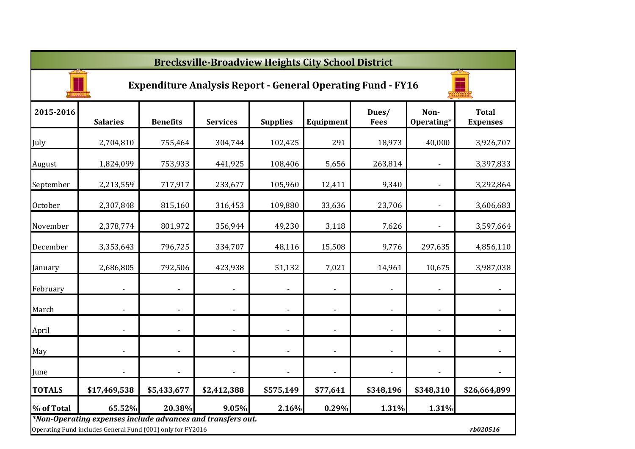|                | <b>Brecksville-Broadview Heights City School District</b>                                                                 |                          |                              |                          |                          |                      |                    |                                 |  |  |  |  |
|----------------|---------------------------------------------------------------------------------------------------------------------------|--------------------------|------------------------------|--------------------------|--------------------------|----------------------|--------------------|---------------------------------|--|--|--|--|
|                | <b>Expenditure Analysis Report - General Operating Fund - FY16</b>                                                        |                          |                              |                          |                          |                      |                    |                                 |  |  |  |  |
| 2015-2016      | <b>Salaries</b>                                                                                                           | <b>Benefits</b>          | <b>Services</b>              | <b>Supplies</b>          | Equipment                | Dues/<br><b>Fees</b> | Non-<br>Operating* | <b>Total</b><br><b>Expenses</b> |  |  |  |  |
| July           | 2,704,810                                                                                                                 | 755,464                  | 304,744                      | 102,425                  | 291                      | 18,973               | 40,000             | 3,926,707                       |  |  |  |  |
| August         | 1,824,099                                                                                                                 | 753,933                  | 441,925                      | 108,406                  | 5,656                    | 263,814              |                    | 3,397,833                       |  |  |  |  |
| September      | 2,213,559                                                                                                                 | 717,917                  | 233,677                      | 105,960                  | 12,411                   | 9,340                |                    | 3,292,864                       |  |  |  |  |
| <b>October</b> | 2,307,848                                                                                                                 | 815,160                  | 316,453                      | 109,880                  | 33,636                   | 23,706               |                    | 3,606,683                       |  |  |  |  |
| November       | 2,378,774                                                                                                                 | 801,972                  | 356,944                      | 49,230                   | 3,118                    | 7,626                |                    | 3,597,664                       |  |  |  |  |
| December       | 3,353,643                                                                                                                 | 796,725                  | 334,707                      | 48,116                   | 15,508                   | 9,776                | 297,635            | 4,856,110                       |  |  |  |  |
| January        | 2,686,805                                                                                                                 | 792,506                  | 423,938                      | 51,132                   | 7,021                    | 14,961               | 10,675             | 3,987,038                       |  |  |  |  |
| February       | $\blacksquare$                                                                                                            |                          | $\overline{\phantom{0}}$     |                          | $\overline{a}$           |                      |                    | $\overline{\phantom{a}}$        |  |  |  |  |
| March          |                                                                                                                           |                          | $\qquad \qquad \blacksquare$ | $\overline{\phantom{a}}$ | $\blacksquare$           |                      | $\blacksquare$     |                                 |  |  |  |  |
| April          | ٠                                                                                                                         | $\overline{\phantom{a}}$ | $\qquad \qquad \blacksquare$ | $\blacksquare$           | $\overline{\phantom{a}}$ |                      | $\blacksquare$     |                                 |  |  |  |  |
| May            |                                                                                                                           |                          | $\qquad \qquad \blacksquare$ |                          | $\overline{\phantom{a}}$ |                      |                    |                                 |  |  |  |  |
| June           |                                                                                                                           |                          | ٠                            |                          |                          |                      |                    |                                 |  |  |  |  |
| <b>TOTALS</b>  | \$17,469,538                                                                                                              | \$5,433,677              | \$2,412,388                  | \$575,149                | \$77,641                 | \$348,196            | \$348,310          | \$26,664,899                    |  |  |  |  |
| % of Total     | 65.52%                                                                                                                    | 20.38%                   | 9.05%                        | 2.16%                    | 0.29%                    | 1.31%                | 1.31%              |                                 |  |  |  |  |
|                | *Non-Operating expenses include advances and transfers out.<br>Operating Fund includes General Fund (001) only for FY2016 |                          |                              |                          |                          |                      |                    | rb020516                        |  |  |  |  |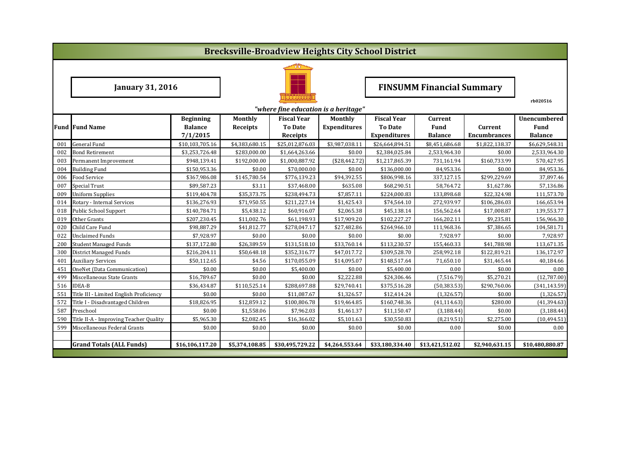|                                      | <b>Brecksville-Broadview Heights City School District</b>                                     |                 |                |                 |                     |                                  |                 |                     |                 |  |  |  |
|--------------------------------------|-----------------------------------------------------------------------------------------------|-----------------|----------------|-----------------|---------------------|----------------------------------|-----------------|---------------------|-----------------|--|--|--|
|                                      |                                                                                               |                 |                |                 |                     |                                  |                 |                     |                 |  |  |  |
|                                      | <b>January 31, 2016</b>                                                                       |                 |                |                 |                     | <b>FINSUMM Financial Summary</b> |                 |                     |                 |  |  |  |
| "where fine education is a heritage" |                                                                                               |                 |                |                 |                     |                                  |                 |                     | rb020516        |  |  |  |
|                                      | <b>Fiscal Year</b><br>Monthly<br><b>Fiscal Year</b><br><b>Beginning</b><br>Monthly<br>Current |                 |                |                 |                     |                                  |                 |                     | Unencumbered    |  |  |  |
|                                      | <b>Fund Fund Name</b>                                                                         | <b>Balance</b>  | Receipts       | <b>To Date</b>  | <b>Expenditures</b> | <b>To Date</b>                   | <b>Fund</b>     | Current             | Fund            |  |  |  |
|                                      |                                                                                               | 7/1/2015        |                | Receipts        |                     | <b>Expenditures</b>              | <b>Balance</b>  | <b>Encumbrances</b> | <b>Balance</b>  |  |  |  |
| 001                                  | <b>General Fund</b>                                                                           | \$10,103,705.16 | \$4,383,680.15 | \$25,012,876.03 | \$3,987,038.11      | \$26,664,894.51                  | \$8,451,686.68  | \$1,822,138.37      | \$6,629,548.31  |  |  |  |
| 002                                  | <b>Bond Retirement</b>                                                                        | \$3,253,726.48  | \$283,000.00   | \$1,664,263.66  | \$0.00              | \$2,384,025.84                   | 2,533,964.30    | \$0.00              | 2,533,964.30    |  |  |  |
| 003                                  | Permanent Improvement                                                                         | \$948,139.41    | \$192,000.00   | \$1,000,887.92  | ( \$28,442.72)      | \$1,217,865.39                   | 731.161.94      | \$160,733.99        | 570,427.95      |  |  |  |
| 004                                  | <b>Building Fund</b>                                                                          | \$150,953.36    | \$0.00         | \$70.000.00     | \$0.00              | \$136,000.00                     | 84,953.36       | \$0.00              | 84,953.36       |  |  |  |
| 006                                  | Food Service                                                                                  | \$367,986.08    | \$145,780.54   | \$776,139.23    | \$94,392.55         | \$806,998.16                     | 337,127.15      | \$299,229.69        | 37,897.46       |  |  |  |
| 007                                  | Special Trust                                                                                 | \$89,587.23     | \$3.11         | \$37,468.00     | \$635.08            | \$68,290.51                      | 58,764.72       | \$1,627.86          | 57,136.86       |  |  |  |
| 009                                  | <b>Uniform Supplies</b>                                                                       | \$119,404.78    | \$35,373.75    | \$238,494.73    | \$7,857.11          | \$224,000.83                     | 133,898.68      | \$22,324.98         | 111,573.70      |  |  |  |
| 014                                  | Rotary - Internal Services                                                                    | \$136,276.93    | \$71,950.55    | \$211,227.14    | \$1,425.43          | \$74,564.10                      | 272,939.97      | \$106,286.03        | 166,653.94      |  |  |  |
| 018                                  | <b>Public School Support</b>                                                                  | \$140,784.71    | \$5,438.12     | \$60,916.07     | \$2,065.38          | \$45,138.14                      | 156,562.64      | \$17,008.87         | 139,553.77      |  |  |  |
| 019                                  | Other Grants                                                                                  | \$207,230.45    | \$11,002.76    | \$61,198.93     | \$17,909.20         | \$102,227.27                     | 166,202.11      | \$9,235.81          | 156,966.30      |  |  |  |
| 020                                  | Child Care Fund                                                                               | \$98,887.29     | \$41,812.77    | \$278,047.17    | \$27,482.86         | \$264,966.10                     | 111,968.36      | \$7,386.65          | 104,581.71      |  |  |  |
| 022                                  | <b>Unclaimed Funds</b>                                                                        | \$7,928.97      | \$0.00         | \$0.00          | \$0.00              | \$0.00                           | 7,928.97        | \$0.00              | 7,928.97        |  |  |  |
| 200                                  | <b>Student Managed Funds</b>                                                                  | \$137,172.80    | \$26,389.59    | \$131,518.10    | \$33,760.14         | \$113,230.57                     | 155,460.33      | \$41,788.98         | 113,671.35      |  |  |  |
| 300                                  | <b>District Managed Funds</b>                                                                 | \$216,204.11    | \$50,648.18    | \$352,316.77    | \$47,017.72         | \$309,528.70                     | 258,992.18      | \$122,819.21        | 136,172.97      |  |  |  |
| 401                                  | <b>Auxiliary Services</b>                                                                     | \$50,112.65     | \$4.56         | \$170,055.09    | \$14,095.07         | \$148,517.64                     | 71,650.10       | \$31,465.44         | 40,184.66       |  |  |  |
| 451                                  | OneNet (Data Communication)                                                                   | \$0.00          | \$0.00         | \$5,400.00      | \$0.00              | \$5,400.00                       | 0.00            | \$0.00              | 0.00            |  |  |  |
| 499                                  | Miscellaneous State Grants                                                                    | \$16,789.67     | \$0.00         | \$0.00          | \$2,222.88          | \$24,306.46                      | (7,516.79)      | \$5,270.21          | (12,787.00)     |  |  |  |
| 516                                  | <b>IDEA-B</b>                                                                                 | \$36,434.87     | \$110,525.14   | \$288,697.88    | \$29,740.41         | \$375,516.28                     | (50, 383.53)    | \$290,760.06        | (341, 143.59)   |  |  |  |
| 551                                  | Title III - Limited English Proficiency                                                       | \$0.00          | \$0.00         | \$11,087.67     | \$1,326.57          | \$12,414.24                      | (1,326.57)      | \$0.00              | (1,326.57)      |  |  |  |
| 572                                  | Title I - Disadvantaged Children                                                              | \$18,826.95     | \$12,859.12    | \$100,806.78    | \$19,464.85         | \$160,748.36                     | (41, 114.63)    | \$280.00            | (41, 394.63)    |  |  |  |
| 587                                  | Preschool                                                                                     | \$0.00          | \$1,558.06     | \$7,962.03      | \$1,461.37          | \$11,150.47                      | (3, 188.44)     | \$0.00              | (3, 188.44)     |  |  |  |
| 590                                  | Title II-A - Improving Teacher Quality                                                        | \$5,965.30      | \$2,082.45     | \$16,366.02     | \$5,101.63          | \$30,550.83                      | (8, 219.51)     | \$2,275.00          | (10, 494.51)    |  |  |  |
| 599                                  | Miscellaneous Federal Grants                                                                  | \$0.00          | \$0.00         | \$0.00          | \$0.00              | \$0.00                           | 0.00            | \$0.00              | 0.00            |  |  |  |
|                                      |                                                                                               |                 |                |                 |                     |                                  |                 |                     |                 |  |  |  |
|                                      | <b>Grand Totals (ALL Funds)</b>                                                               | \$16,106,117.20 | \$5,374,108.85 | \$30,495,729.22 | \$4,264,553.64      | \$33,180,334.40                  | \$13,421,512.02 | \$2,940,631.15      | \$10,480,880.87 |  |  |  |
|                                      |                                                                                               |                 |                |                 |                     |                                  |                 |                     |                 |  |  |  |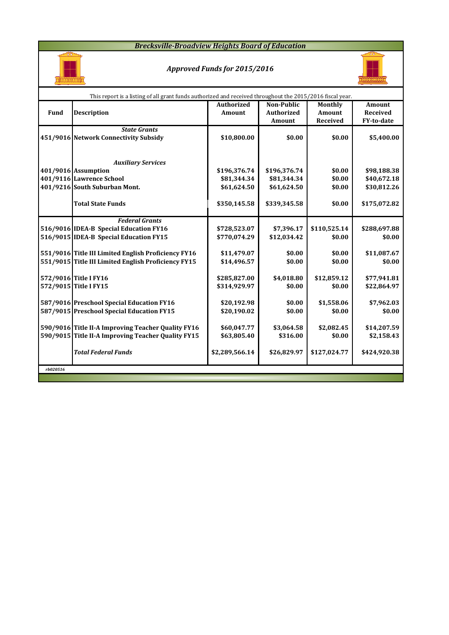### *Brecksville-Broadview Heights Board of Education*



### *Approved Funds for 2015/2016*



|          | This report is a listing of all grant funds authorized and received throughout the 2015/2016 fiscal year. |                   |                   |              |                   |  |  |  |  |  |  |
|----------|-----------------------------------------------------------------------------------------------------------|-------------------|-------------------|--------------|-------------------|--|--|--|--|--|--|
|          |                                                                                                           | <b>Authorized</b> | <b>Non-Public</b> | Monthly      | <b>Amount</b>     |  |  |  |  |  |  |
| Fund     | <b>Description</b>                                                                                        | Amount            | <b>Authorized</b> | Amount       | <b>Received</b>   |  |  |  |  |  |  |
|          |                                                                                                           |                   | Amount            | Received     | <b>FY-to-date</b> |  |  |  |  |  |  |
|          | <b>State Grants</b>                                                                                       |                   |                   |              |                   |  |  |  |  |  |  |
|          | 451/9016 Network Connectivity Subsidy                                                                     | \$10,800.00       | \$0.00            | \$0.00       | \$5,400.00        |  |  |  |  |  |  |
|          |                                                                                                           |                   |                   |              |                   |  |  |  |  |  |  |
|          |                                                                                                           |                   |                   |              |                   |  |  |  |  |  |  |
|          | <b>Auxiliary Services</b>                                                                                 |                   |                   |              |                   |  |  |  |  |  |  |
|          | 401/9016 Assumption                                                                                       | \$196,376.74      | \$196,376.74      | \$0.00       | \$98,188.38       |  |  |  |  |  |  |
|          | 401/9116 Lawrence School                                                                                  | \$81,344.34       | \$81,344.34       | \$0.00       | \$40,672.18       |  |  |  |  |  |  |
|          | 401/9216 South Suburban Mont.                                                                             | \$61,624.50       | \$61,624.50       | \$0.00       | \$30,812.26       |  |  |  |  |  |  |
|          |                                                                                                           |                   |                   |              |                   |  |  |  |  |  |  |
|          | <b>Total State Funds</b>                                                                                  | \$350,145.58      | \$339,345.58      | \$0.00       | \$175,072.82      |  |  |  |  |  |  |
|          |                                                                                                           |                   |                   |              |                   |  |  |  |  |  |  |
|          | <b>Federal Grants</b>                                                                                     |                   |                   |              |                   |  |  |  |  |  |  |
|          | 516/9016 IDEA-B Special Education FY16                                                                    | \$728,523.07      | \$7,396.17        | \$110,525.14 | \$288,697.88      |  |  |  |  |  |  |
|          | 516/9015 IDEA-B Special Education FY15                                                                    | \$770,074.29      | \$12,034.42       | \$0.00       | \$0.00            |  |  |  |  |  |  |
|          | 551/9016 Title III Limited English Proficiency FY16                                                       | \$11,479.07       | \$0.00            | \$0.00       | \$11,087.67       |  |  |  |  |  |  |
|          | 551/9015 Title III Limited English Proficiency FY15                                                       | \$14,496.57       | \$0.00            | \$0.00       | \$0.00            |  |  |  |  |  |  |
|          |                                                                                                           |                   |                   |              |                   |  |  |  |  |  |  |
|          | 572/9016 Title I FY16                                                                                     | \$285,827.00      | \$4,018.80        | \$12,859.12  | \$77,941.81       |  |  |  |  |  |  |
|          | 572/9015 Title I FY15                                                                                     | \$314,929.97      | \$0.00            | \$0.00       | \$22,864.97       |  |  |  |  |  |  |
|          |                                                                                                           |                   |                   |              |                   |  |  |  |  |  |  |
|          | 587/9016 Preschool Special Education FY16                                                                 | \$20,192.98       | \$0.00            | \$1,558.06   | \$7,962.03        |  |  |  |  |  |  |
|          | 587/9015 Preschool Special Education FY15                                                                 | \$20,190.02       | \$0.00            | \$0.00       | \$0.00            |  |  |  |  |  |  |
|          |                                                                                                           |                   |                   |              |                   |  |  |  |  |  |  |
|          | 590/9016 Title II-A Improving Teacher Quality FY16                                                        | \$60,047.77       | \$3,064.58        | \$2,082.45   | \$14,207.59       |  |  |  |  |  |  |
|          | 590/9015 Title II-A Improving Teacher Quality FY15                                                        | \$63,805.40       | \$316.00          | \$0.00       | \$2,158.43        |  |  |  |  |  |  |
|          |                                                                                                           |                   |                   |              |                   |  |  |  |  |  |  |
|          | <b>Total Federal Funds</b>                                                                                | \$2,289,566.14    | \$26,829.97       | \$127,024.77 | \$424,920.38      |  |  |  |  |  |  |
|          |                                                                                                           |                   |                   |              |                   |  |  |  |  |  |  |
| rb020516 |                                                                                                           |                   |                   |              |                   |  |  |  |  |  |  |
|          |                                                                                                           |                   |                   |              |                   |  |  |  |  |  |  |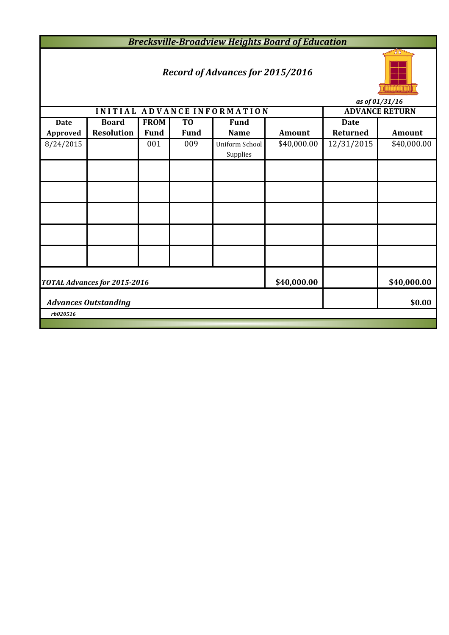*Brecksville-Broadview Heights Board of Education*

# *Record of Advances for 2015/2016*



*as of 01/31/16*

|             |                              |             |                | INITIAL ADVANCE INFORMATION |               |                 | ~~ <i>~, ~~, ~~,</i> ~~<br><b>ADVANCE RETURN</b> |  |  |
|-------------|------------------------------|-------------|----------------|-----------------------------|---------------|-----------------|--------------------------------------------------|--|--|
| <b>Date</b> | <b>Board</b>                 | <b>FROM</b> | T <sub>0</sub> | <b>Fund</b>                 |               | <b>Date</b>     |                                                  |  |  |
| Approved    | <b>Resolution</b>            | <b>Fund</b> | Fund           | <b>Name</b>                 | <b>Amount</b> | <b>Returned</b> | Amount                                           |  |  |
| 8/24/2015   |                              | 001         | 009            | Uniform School<br>Supplies  | \$40,000.00   | 12/31/2015      | \$40,000.00                                      |  |  |
|             |                              |             |                |                             |               |                 |                                                  |  |  |
|             |                              |             |                |                             |               |                 |                                                  |  |  |
|             |                              |             |                |                             |               |                 |                                                  |  |  |
|             |                              |             |                |                             |               |                 |                                                  |  |  |
|             |                              |             |                |                             |               |                 |                                                  |  |  |
|             | TOTAL Advances for 2015-2016 | \$40,000.00 |                | \$40,000.00                 |               |                 |                                                  |  |  |
|             | <b>Advances Outstanding</b>  |             | \$0.00         |                             |               |                 |                                                  |  |  |
| rb020516    |                              |             |                |                             |               |                 |                                                  |  |  |
|             |                              |             |                |                             |               |                 |                                                  |  |  |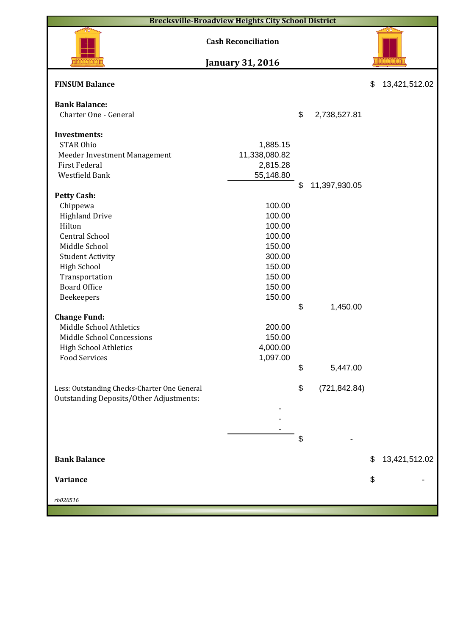| <b>Brecksville-Broadview Heights City School District</b>                               |                            |    |               |    |               |  |  |  |  |
|-----------------------------------------------------------------------------------------|----------------------------|----|---------------|----|---------------|--|--|--|--|
|                                                                                         | <b>Cash Reconciliation</b> |    |               |    |               |  |  |  |  |
|                                                                                         | <b>January 31, 2016</b>    |    |               |    |               |  |  |  |  |
| <b>FINSUM Balance</b>                                                                   |                            |    |               | \$ | 13,421,512.02 |  |  |  |  |
| <b>Bank Balance:</b>                                                                    |                            |    |               |    |               |  |  |  |  |
| Charter One - General                                                                   |                            | \$ | 2,738,527.81  |    |               |  |  |  |  |
|                                                                                         |                            |    |               |    |               |  |  |  |  |
| <b>Investments:</b>                                                                     |                            |    |               |    |               |  |  |  |  |
| <b>STAR Ohio</b>                                                                        | 1,885.15                   |    |               |    |               |  |  |  |  |
| Meeder Investment Management                                                            | 11,338,080.82              |    |               |    |               |  |  |  |  |
| <b>First Federal</b>                                                                    | 2,815.28                   |    |               |    |               |  |  |  |  |
| Westfield Bank                                                                          | 55,148.80                  |    |               |    |               |  |  |  |  |
|                                                                                         |                            | \$ | 11,397,930.05 |    |               |  |  |  |  |
| <b>Petty Cash:</b>                                                                      | 100.00                     |    |               |    |               |  |  |  |  |
| Chippewa                                                                                |                            |    |               |    |               |  |  |  |  |
| <b>Highland Drive</b>                                                                   | 100.00                     |    |               |    |               |  |  |  |  |
| Hilton                                                                                  | 100.00                     |    |               |    |               |  |  |  |  |
| <b>Central School</b>                                                                   | 100.00                     |    |               |    |               |  |  |  |  |
| Middle School                                                                           | 150.00                     |    |               |    |               |  |  |  |  |
| <b>Student Activity</b>                                                                 | 300.00                     |    |               |    |               |  |  |  |  |
| <b>High School</b>                                                                      | 150.00                     |    |               |    |               |  |  |  |  |
| Transportation                                                                          | 150.00                     |    |               |    |               |  |  |  |  |
| <b>Board Office</b>                                                                     | 150.00                     |    |               |    |               |  |  |  |  |
| Beekeepers                                                                              | 150.00                     |    |               |    |               |  |  |  |  |
|                                                                                         |                            | \$ | 1,450.00      |    |               |  |  |  |  |
| <b>Change Fund:</b>                                                                     |                            |    |               |    |               |  |  |  |  |
| Middle School Athletics                                                                 | 200.00                     |    |               |    |               |  |  |  |  |
| Middle School Concessions                                                               | 150.00                     |    |               |    |               |  |  |  |  |
| <b>High School Athletics</b>                                                            | 4,000.00                   |    |               |    |               |  |  |  |  |
| <b>Food Services</b>                                                                    | 1,097.00                   |    |               |    |               |  |  |  |  |
|                                                                                         |                            | \$ | 5,447.00      |    |               |  |  |  |  |
|                                                                                         |                            | \$ | (721, 842.84) |    |               |  |  |  |  |
| Less: Outstanding Checks-Charter One General<br>Outstanding Deposits/Other Adjustments: |                            |    |               |    |               |  |  |  |  |
|                                                                                         |                            |    |               |    |               |  |  |  |  |
|                                                                                         |                            |    |               |    |               |  |  |  |  |
|                                                                                         |                            |    |               |    |               |  |  |  |  |
|                                                                                         |                            | \$ |               |    |               |  |  |  |  |
|                                                                                         |                            |    |               |    |               |  |  |  |  |
| <b>Bank Balance</b>                                                                     |                            |    |               | \$ | 13,421,512.02 |  |  |  |  |
|                                                                                         |                            |    |               |    |               |  |  |  |  |
| <b>Variance</b>                                                                         |                            |    |               | \$ |               |  |  |  |  |
|                                                                                         |                            |    |               |    |               |  |  |  |  |
| rb020516                                                                                |                            |    |               |    |               |  |  |  |  |
|                                                                                         |                            |    |               |    |               |  |  |  |  |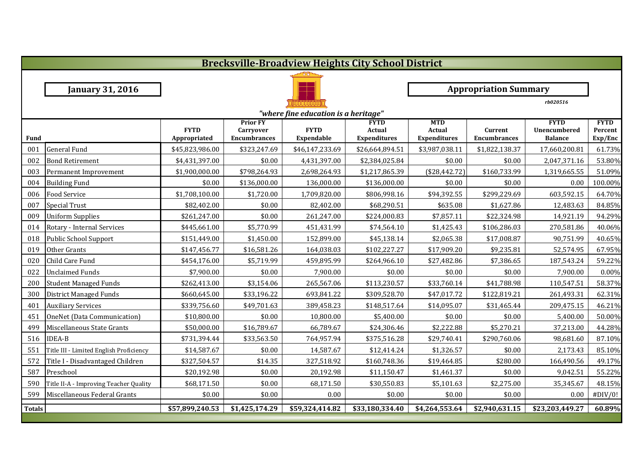|               | <b>Brecksville-Broadview Heights City School District</b> |                             |                                                            |                                  |                                              |                                             |                                |                                               |                                   |  |  |
|---------------|-----------------------------------------------------------|-----------------------------|------------------------------------------------------------|----------------------------------|----------------------------------------------|---------------------------------------------|--------------------------------|-----------------------------------------------|-----------------------------------|--|--|
|               |                                                           |                             |                                                            |                                  |                                              |                                             |                                |                                               |                                   |  |  |
|               | <b>January 31, 2016</b>                                   |                             |                                                            |                                  |                                              |                                             | <b>Appropriation Summary</b>   |                                               |                                   |  |  |
|               |                                                           |                             |                                                            |                                  |                                              |                                             |                                | rb020516                                      |                                   |  |  |
|               | "where fine education is a heritage"                      |                             |                                                            |                                  |                                              |                                             |                                |                                               |                                   |  |  |
| <b>Fund</b>   |                                                           | <b>FYTD</b><br>Appropriated | <b>Prior FY</b><br><b>Carryover</b><br><b>Encumbrances</b> | <b>FYTD</b><br><b>Expendable</b> | <b>FYTD</b><br>Actual<br><b>Expenditures</b> | <b>MTD</b><br>Actual<br><b>Expenditures</b> | Current<br><b>Encumbrances</b> | <b>FYTD</b><br>Unencumbered<br><b>Balance</b> | <b>FYTD</b><br>Percent<br>Exp/Enc |  |  |
| 001           | <b>General Fund</b>                                       | \$45,823,986.00             | \$323,247.69                                               | \$46,147,233.69                  | \$26,664,894.51                              | \$3,987,038.11                              | \$1,822,138.37                 | 17,660,200.81                                 | 61.73%                            |  |  |
| 002           | <b>Bond Retirement</b>                                    | \$4,431,397.00              | \$0.00                                                     | 4,431,397.00                     | \$2,384,025.84                               | \$0.00                                      | \$0.00                         | 2,047,371.16                                  | 53.80%                            |  |  |
| 003           | Permanent Improvement                                     | \$1,900,000.00              | \$798,264.93                                               | 2,698,264.93                     | \$1,217,865.39                               | (\$28,442.72)                               | \$160,733.99                   | 1,319,665.55                                  | 51.09%                            |  |  |
| 004           | <b>Building Fund</b>                                      | \$0.00                      | \$136,000.00                                               | 136,000.00                       | \$136,000.00                                 | \$0.00                                      | \$0.00                         | 0.00                                          | 100.00%                           |  |  |
| 006           | <b>Food Service</b>                                       | \$1,708,100.00              | \$1,720.00                                                 | 1,709,820.00                     | \$806,998.16                                 | \$94,392.55                                 | \$299,229.69                   | 603,592.15                                    | 64.70%                            |  |  |
| 007           | <b>Special Trust</b>                                      | \$82,402.00                 | \$0.00                                                     | 82,402.00                        | \$68,290.51                                  | \$635.08                                    | \$1,627.86                     | 12,483.63                                     | 84.85%                            |  |  |
| 009           | <b>Uniform Supplies</b>                                   | \$261,247.00                | \$0.00                                                     | 261,247.00                       | \$224,000.83                                 | \$7,857.11                                  | \$22,324.98                    | 14,921.19                                     | 94.29%                            |  |  |
| 014           | Rotary - Internal Services                                | \$445,661.00                | \$5,770.99                                                 | 451,431.99                       | \$74,564.10                                  | \$1,425.43                                  | \$106,286.03                   | 270,581.86                                    | 40.06%                            |  |  |
| 018           | Public School Support                                     | \$151,449.00                | \$1,450.00                                                 | 152,899.00                       | \$45,138.14                                  | \$2,065.38                                  | \$17,008.87                    | 90,751.99                                     | 40.65%                            |  |  |
| 019           | Other Grants                                              | \$147,456.77                | \$16,581.26                                                | 164,038.03                       | \$102,227.27                                 | \$17,909.20                                 | \$9,235.81                     | 52,574.95                                     | 67.95%                            |  |  |
| 020           | Child Care Fund                                           | \$454,176.00                | \$5,719.99                                                 | 459,895.99                       | \$264,966.10                                 | \$27,482.86                                 | \$7,386.65                     | 187,543.24                                    | 59.22%                            |  |  |
| 022           | <b>Unclaimed Funds</b>                                    | \$7,900.00                  | \$0.00                                                     | 7,900.00                         | \$0.00                                       | \$0.00                                      | \$0.00                         | 7,900.00                                      | 0.00%                             |  |  |
| 200           | <b>Student Managed Funds</b>                              | \$262,413.00                | \$3,154.06                                                 | 265,567.06                       | \$113,230.57                                 | \$33,760.14                                 | \$41,788.98                    | 110,547.51                                    | 58.37%                            |  |  |
| 300           | <b>District Managed Funds</b>                             | \$660,645.00                | \$33,196.22                                                | 693,841.22                       | \$309,528.70                                 | \$47,017.72                                 | \$122,819.21                   | 261,493.31                                    | 62.31%                            |  |  |
| 401           | <b>Auxiliary Services</b>                                 | \$339,756.60                | \$49,701.63                                                | 389,458.23                       | \$148,517.64                                 | \$14,095.07                                 | \$31,465.44                    | 209,475.15                                    | 46.21%                            |  |  |
| 451           | OneNet (Data Communication)                               | \$10,800.00                 | \$0.00                                                     | 10,800.00                        | \$5,400.00                                   | \$0.00                                      | \$0.00                         | 5,400.00                                      | 50.00%                            |  |  |
| 499           | Miscellaneous State Grants                                | \$50,000.00                 | \$16,789.67                                                | 66,789.67                        | \$24,306.46                                  | \$2,222.88                                  | \$5,270.21                     | 37,213.00                                     | 44.28%                            |  |  |
| 516           | <b>IDEA-B</b>                                             | \$731,394.44                | \$33,563.50                                                | 764,957.94                       | \$375,516.28                                 | \$29,740.41                                 | \$290,760.06                   | 98,681.60                                     | 87.10%                            |  |  |
| 551           | Title III - Limited English Proficiency                   | \$14,587.67                 | \$0.00                                                     | 14,587.67                        | \$12,414.24                                  | \$1,326.57                                  | \$0.00                         | 2,173.43                                      | 85.10%                            |  |  |
| 572           | Title I - Disadvantaged Children                          | \$327,504.57                | \$14.35                                                    | 327,518.92                       | \$160,748.36                                 | \$19,464.85                                 | \$280.00                       | 166,490.56                                    | 49.17%                            |  |  |
| 587           | Preschool                                                 | \$20,192.98                 | \$0.00                                                     | 20,192.98                        | \$11,150.47                                  | \$1,461.37                                  | \$0.00                         | 9,042.51                                      | 55.22%                            |  |  |
| 590           | Title II-A - Improving Teacher Quality                    | \$68,171.50                 | \$0.00                                                     | 68,171.50                        | \$30,550.83                                  | \$5,101.63                                  | \$2,275.00                     | 35,345.67                                     | 48.15%                            |  |  |
| 599           | Miscellaneous Federal Grants                              | \$0.00                      | \$0.00                                                     | 0.00                             | \$0.00                                       | \$0.00                                      | \$0.00                         | 0.00                                          | #DIV/0!                           |  |  |
| <b>Totals</b> |                                                           | \$57,899,240.53             | \$1,425,174.29                                             | \$59,324,414.82                  | \$33,180,334.40                              | \$4,264,553.64                              | \$2,940,631.15                 | \$23,203,449.27                               | 60.89%                            |  |  |